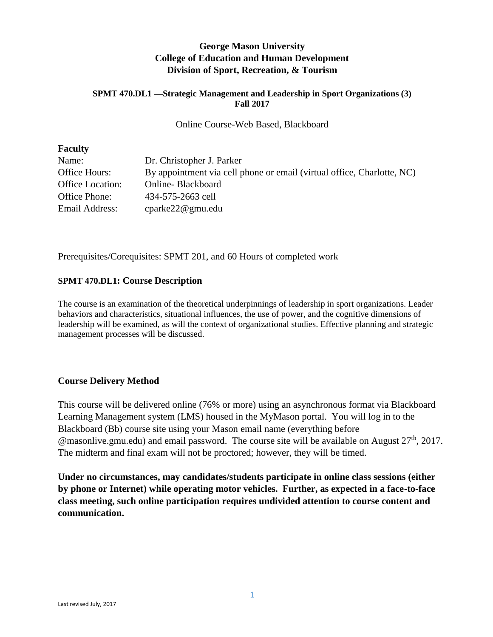# **George Mason University College of Education and Human Development Division of Sport, Recreation, & Tourism**

#### **SPMT 470.DL1 —Strategic Management and Leadership in Sport Organizations (3) Fall 2017**

#### Online Course-Web Based, Blackboard

#### **Faculty**

| Name:                   | Dr. Christopher J. Parker                                              |
|-------------------------|------------------------------------------------------------------------|
| Office Hours:           | By appointment via cell phone or email (virtual office, Charlotte, NC) |
| <b>Office Location:</b> | Online-Blackboard                                                      |
| Office Phone:           | 434-575-2663 cell                                                      |
| Email Address:          | cparke22@gmu.edu                                                       |

Prerequisites/Corequisites: SPMT 201, and 60 Hours of completed work

### **SPMT 470.DL1: Course Description**

The course is an examination of the theoretical underpinnings of leadership in sport organizations. Leader behaviors and characteristics, situational influences, the use of power, and the cognitive dimensions of leadership will be examined, as will the context of organizational studies. Effective planning and strategic management processes will be discussed.

### **Course Delivery Method**

This course will be delivered online (76% or more) using an asynchronous format via Blackboard Learning Management system (LMS) housed in the MyMason portal. You will log in to the Blackboard (Bb) course site using your Mason email name (everything before  $\omega$  masonlive.gmu.edu) and email password. The course site will be available on August 27<sup>th</sup>, 2017. The midterm and final exam will not be proctored; however, they will be timed.

**Under no circumstances, may candidates/students participate in online class sessions (either by phone or Internet) while operating motor vehicles. Further, as expected in a face-to-face class meeting, such online participation requires undivided attention to course content and communication.**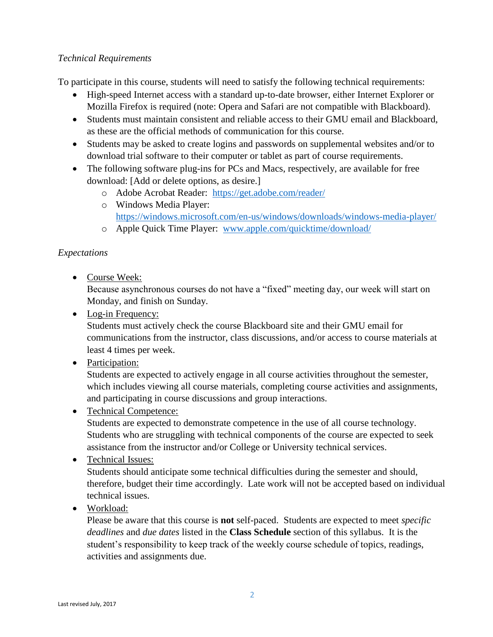## *Technical Requirements*

To participate in this course, students will need to satisfy the following technical requirements:

- High-speed Internet access with a standard up-to-date browser, either Internet Explorer or Mozilla Firefox is required (note: Opera and Safari are not compatible with Blackboard).
- Students must maintain consistent and reliable access to their GMU email and Blackboard, as these are the official methods of communication for this course.
- Students may be asked to create logins and passwords on supplemental websites and/or to download trial software to their computer or tablet as part of course requirements.
- The following software plug-ins for PCs and Macs, respectively, are available for free download: [Add or delete options, as desire.]
	- o Adobe Acrobat Reader: <https://get.adobe.com/reader/>
	- o Windows Media Player: <https://windows.microsoft.com/en-us/windows/downloads/windows-media-player/>
	- o Apple Quick Time Player: [www.apple.com/quicktime/download/](http://www.apple.com/quicktime/download/)

# *Expectations*

• Course Week:

Because asynchronous courses do not have a "fixed" meeting day, our week will start on Monday, and finish on Sunday.

• Log-in Frequency:

Students must actively check the course Blackboard site and their GMU email for communications from the instructor, class discussions, and/or access to course materials at least 4 times per week.

• Participation:

Students are expected to actively engage in all course activities throughout the semester, which includes viewing all course materials, completing course activities and assignments, and participating in course discussions and group interactions.

Technical Competence:

Students are expected to demonstrate competence in the use of all course technology. Students who are struggling with technical components of the course are expected to seek assistance from the instructor and/or College or University technical services.

# • Technical Issues:

Students should anticipate some technical difficulties during the semester and should, therefore, budget their time accordingly. Late work will not be accepted based on individual technical issues.

Workload:

Please be aware that this course is **not** self-paced. Students are expected to meet *specific deadlines* and *due dates* listed in the **Class Schedule** section of this syllabus. It is the student's responsibility to keep track of the weekly course schedule of topics, readings, activities and assignments due.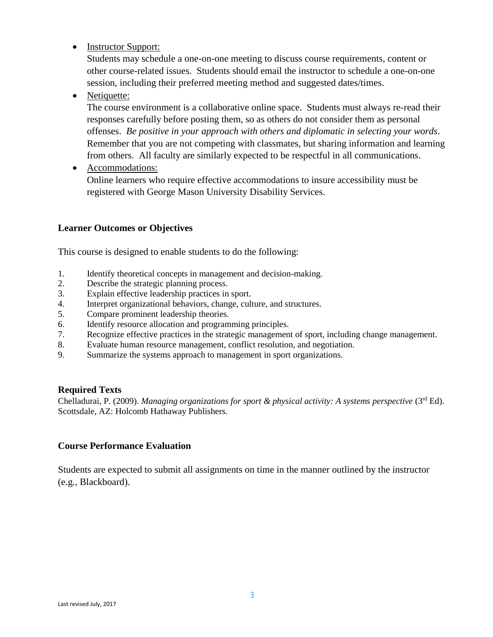• Instructor Support:

Students may schedule a one-on-one meeting to discuss course requirements, content or other course-related issues. Students should email the instructor to schedule a one-on-one session, including their preferred meeting method and suggested dates/times.

• Netiquette:

The course environment is a collaborative online space. Students must always re-read their responses carefully before posting them, so as others do not consider them as personal offenses. *Be positive in your approach with others and diplomatic in selecting your words*. Remember that you are not competing with classmates, but sharing information and learning from others. All faculty are similarly expected to be respectful in all communications.

• Accommodations:

Online learners who require effective accommodations to insure accessibility must be registered with George Mason University Disability Services.

### **Learner Outcomes or Objectives**

This course is designed to enable students to do the following:

- 1. Identify theoretical concepts in management and decision-making.
- 2. Describe the strategic planning process.
- 3. Explain effective leadership practices in sport.
- 4. Interpret organizational behaviors, change, culture, and structures.
- 5. Compare prominent leadership theories.
- 6. Identify resource allocation and programming principles.
- 7. Recognize effective practices in the strategic management of sport, including change management.
- 8. Evaluate human resource management, conflict resolution, and negotiation.
- 9. Summarize the systems approach to management in sport organizations.

### **Required Texts**

Chelladurai, P. (2009). *Managing organizations for sport & physical activity: A systems perspective* (3rd Ed). Scottsdale, AZ: Holcomb Hathaway Publishers.

### **Course Performance Evaluation**

Students are expected to submit all assignments on time in the manner outlined by the instructor (e.g., Blackboard).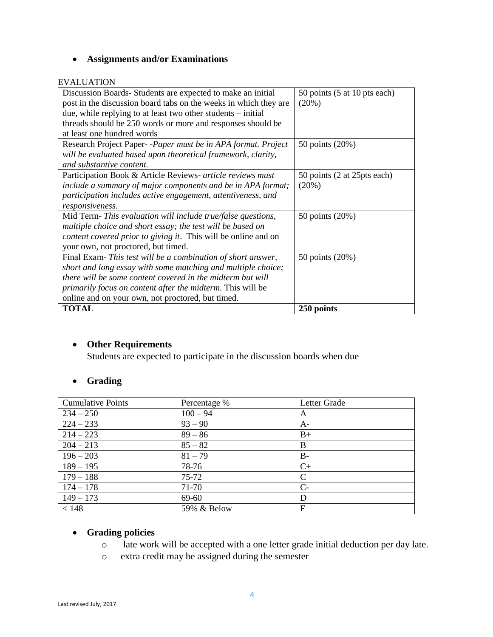# **Assignments and/or Examinations**

#### EVALUATION

| Discussion Boards-Students are expected to make an initial            | 50 points (5 at 10 pts each) |
|-----------------------------------------------------------------------|------------------------------|
| post in the discussion board tabs on the weeks in which they are      | (20%)                        |
| due, while replying to at least two other students $-$ initial        |                              |
| threads should be 250 words or more and responses should be           |                              |
| at least one hundred words                                            |                              |
| Research Project Paper--Paper must be in APA format. Project          | 50 points (20%)              |
| will be evaluated based upon theoretical framework, clarity,          |                              |
| and substantive content.                                              |                              |
| Participation Book & Article Reviews- article reviews must            | 50 points (2 at 25 pts each) |
| include a summary of major components and be in APA format;           | (20%)                        |
| participation includes active engagement, attentiveness, and          |                              |
| responsiveness.                                                       |                              |
| Mid Term- This evaluation will include true/false questions,          | 50 points (20%)              |
| multiple choice and short essay; the test will be based on            |                              |
| <i>content covered prior to giving it.</i> This will be online and on |                              |
| your own, not proctored, but timed.                                   |                              |
| Final Exam-This test will be a combination of short answer,           | 50 points (20%)              |
| short and long essay with some matching and multiple choice;          |                              |
| there will be some content covered in the midterm but will            |                              |
| <i>primarily focus on content after the midterm. This will be</i>     |                              |
| online and on your own, not proctored, but timed.                     |                              |
| <b>TOTAL</b>                                                          | 250 points                   |

### **Other Requirements**

Students are expected to participate in the discussion boards when due

# **Grading**

| <b>Cumulative Points</b> | Percentage % | Letter Grade |
|--------------------------|--------------|--------------|
| $234 - 250$              | $100 - 94$   | A            |
| $224 - 233$              | $93 - 90$    | $A-$         |
| $214 - 223$              | $89 - 86$    | $B+$         |
| $204 - 213$              | $85 - 82$    | B            |
| $196 - 203$              | $81 - 79$    | $B -$        |
| $189 - 195$              | 78-76        | $C+$         |
| $179 - 188$              | $75 - 72$    | C            |
| $174 - 178$              | 71-70        | $C-$         |
| $149 - 173$              | 69-60        | D            |
| < 148                    | 59% & Below  | F            |

# **Grading policies**

- o late work will be accepted with a one letter grade initial deduction per day late.
- o –extra credit may be assigned during the semester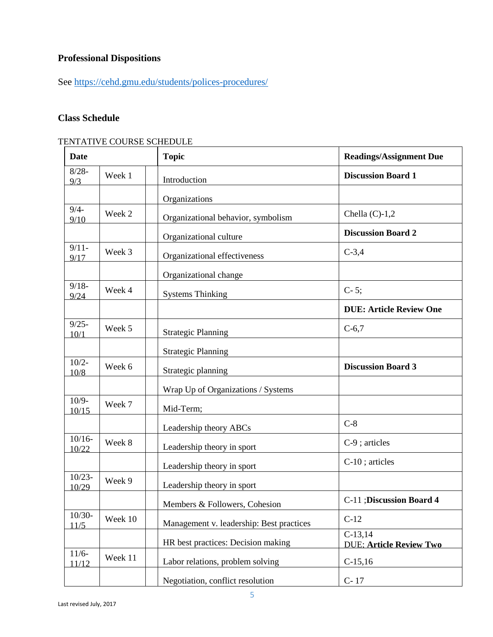# **Professional Dispositions**

See<https://cehd.gmu.edu/students/polices-procedures/>

# **Class Schedule**

## TENTATIVE COURSE SCHEDULE

| <b>Date</b>        |         | <b>Topic</b>                             | <b>Readings/Assignment Due</b>              |
|--------------------|---------|------------------------------------------|---------------------------------------------|
| $8/28 -$<br>9/3    | Week 1  | Introduction                             | <b>Discussion Board 1</b>                   |
|                    |         | Organizations                            |                                             |
| $9/4-$<br>9/10     | Week 2  | Organizational behavior, symbolism       | Chella $(C)-1,2$                            |
|                    |         | Organizational culture                   | <b>Discussion Board 2</b>                   |
| $9/11-$<br>9/17    | Week 3  | Organizational effectiveness             | $C-3,4$                                     |
|                    |         | Organizational change                    |                                             |
| $9/18 -$<br>9/24   | Week 4  | <b>Systems Thinking</b>                  | $C-5;$                                      |
|                    |         |                                          | <b>DUE: Article Review One</b>              |
| $9/25 -$<br>10/1   | Week 5  | <b>Strategic Planning</b>                | $C-6,7$                                     |
|                    |         | <b>Strategic Planning</b>                |                                             |
| $10/2-$<br>10/8    | Week 6  | Strategic planning                       | <b>Discussion Board 3</b>                   |
|                    |         | Wrap Up of Organizations / Systems       |                                             |
| $10/9-$<br>10/15   | Week 7  | Mid-Term;                                |                                             |
|                    |         | Leadership theory ABCs                   | $C-8$                                       |
| $10/16 -$<br>10/22 | Week 8  | Leadership theory in sport               | C-9; articles                               |
|                    |         | Leadership theory in sport               | C-10; articles                              |
| $10/23 -$<br>10/29 | Week 9  | Leadership theory in sport               |                                             |
|                    |         | Members & Followers, Cohesion            | C-11 ; Discussion Board 4                   |
| $10/30-$<br>11/5   | Week 10 | Management v. leadership: Best practices | $C-12$                                      |
|                    |         | HR best practices: Decision making       | $C-13,14$<br><b>DUE: Article Review Two</b> |
| $11/6-$<br>11/12   | Week 11 | Labor relations, problem solving         | $C-15,16$                                   |
|                    |         | Negotiation, conflict resolution         | $C-17$                                      |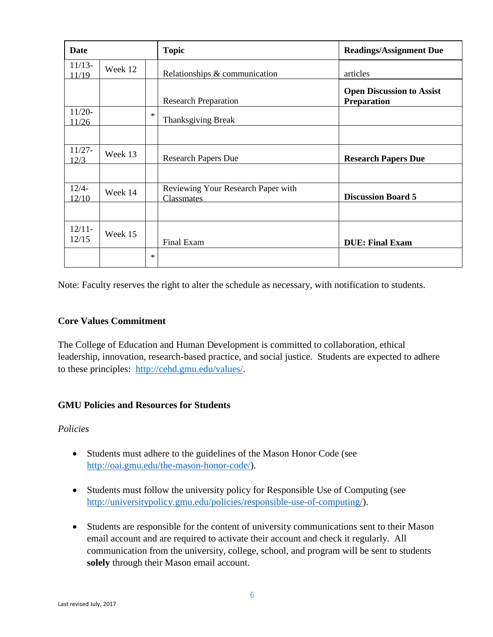| Date              |         |        | <b>Topic</b>                       | <b>Readings/Assignment Due</b>                         |
|-------------------|---------|--------|------------------------------------|--------------------------------------------------------|
| $11/13-$<br>11/19 | Week 12 |        | Relationships & communication      | articles                                               |
|                   |         |        | <b>Research Preparation</b>        | <b>Open Discussion to Assist</b><br><b>Preparation</b> |
| $11/20-$<br>11/26 |         | $\ast$ | Thanksgiving Break                 |                                                        |
| $11/27 -$         |         |        |                                    |                                                        |
| 12/3              | Week 13 |        | <b>Research Papers Due</b>         | <b>Research Papers Due</b>                             |
| $12/4-$           |         |        | Reviewing Your Research Paper with |                                                        |
| 12/10             | Week 14 |        | <b>Classmates</b>                  | <b>Discussion Board 5</b>                              |
|                   |         |        |                                    |                                                        |
| $12/11-$<br>12/15 | Week 15 |        | Final Exam                         | <b>DUE: Final Exam</b>                                 |
|                   |         | $\ast$ |                                    |                                                        |

Note: Faculty reserves the right to alter the schedule as necessary, with notification to students.

## **Core Values Commitment**

The College of Education and Human Development is committed to collaboration, ethical leadership, innovation, research-based practice, and social justice. Students are expected to adhere to these principles: [http://cehd.gmu.edu/values/.](http://cehd.gmu.edu/values/)

### **GMU Policies and Resources for Students**

*Policies*

- Students must adhere to the guidelines of the Mason Honor Code (see [http://oai.gmu.edu/the-mason-honor-code/\)](http://oai.gmu.edu/the-mason-honor-code/).
- Students must follow the university policy for Responsible Use of Computing (see [http://universitypolicy.gmu.edu/policies/responsible-use-of-computing/\)](http://universitypolicy.gmu.edu/policies/responsible-use-of-computing/).
- Students are responsible for the content of university communications sent to their Mason email account and are required to activate their account and check it regularly. All communication from the university, college, school, and program will be sent to students **solely** through their Mason email account.